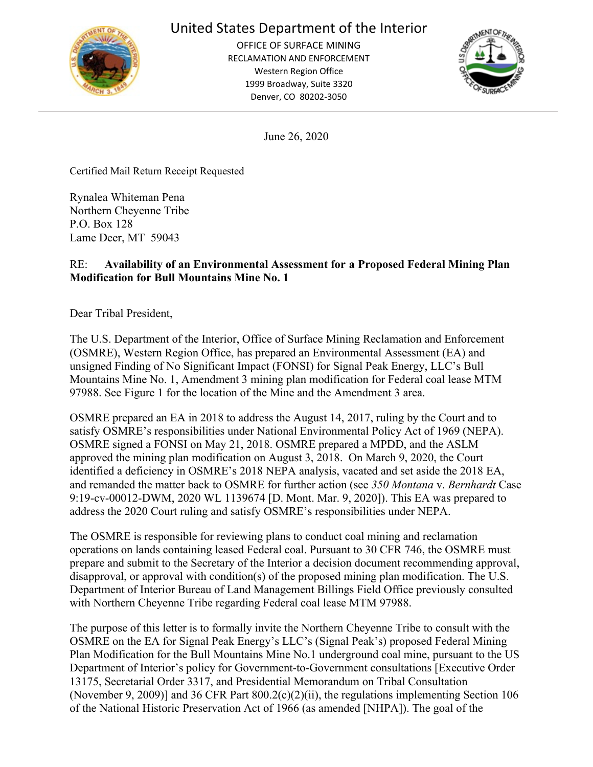

# United States Department of the Interior

OFFICE OF SURFACE MINING RECLAMATION AND ENFORCEMENT Western Region Office 1999 Broadway, Suite 3320 Denver, CO 80202-3050



June 26, 2020

Certified Mail Return Receipt Requested

Rynalea Whiteman Pena Northern Cheyenne Tribe P.O. Box 128 Lame Deer, MT 59043

### RE: **Availability of an Environmental Assessment for a Proposed Federal Mining Plan Modification for Bull Mountains Mine No. 1**

Dear Tribal President,

The U.S. Department of the Interior, Office of Surface Mining Reclamation and Enforcement (OSMRE), Western Region Office, has prepared an Environmental Assessment (EA) and unsigned Finding of No Significant Impact (FONSI) for Signal Peak Energy, LLC's Bull Mountains Mine No. 1, Amendment 3 mining plan modification for Federal coal lease MTM 97988. See Figure 1 for the location of the Mine and the Amendment 3 area.

OSMRE prepared an EA in 2018 to address the August 14, 2017, ruling by the Court and to satisfy OSMRE's responsibilities under National Environmental Policy Act of 1969 (NEPA). OSMRE signed a FONSI on May 21, 2018. OSMRE prepared a MPDD, and the ASLM approved the mining plan modification on August 3, 2018. On March 9, 2020, the Court identified a deficiency in OSMRE's 2018 NEPA analysis, vacated and set aside the 2018 EA, and remanded the matter back to OSMRE for further action (see *350 Montana* v. *Bernhardt* Case 9:19-cv-00012-DWM, 2020 WL 1139674 [D. Mont. Mar. 9, 2020]). This EA was prepared to address the 2020 Court ruling and satisfy OSMRE's responsibilities under NEPA.

The OSMRE is responsible for reviewing plans to conduct coal mining and reclamation operations on lands containing leased Federal coal. Pursuant to 30 CFR 746, the OSMRE must prepare and submit to the Secretary of the Interior a decision document recommending approval, disapproval, or approval with condition(s) of the proposed mining plan modification. The U.S. Department of Interior Bureau of Land Management Billings Field Office previously consulted with Northern Cheyenne Tribe regarding Federal coal lease MTM 97988.

The purpose of this letter is to formally invite the Northern Cheyenne Tribe to consult with the OSMRE on the EA for Signal Peak Energy's LLC's (Signal Peak's) proposed Federal Mining Plan Modification for the Bull Mountains Mine No.1 underground coal mine, pursuant to the US Department of Interior's policy for Government-to-Government consultations [Executive Order 13175, Secretarial Order 3317, and Presidential Memorandum on Tribal Consultation (November 9, 2009)] and 36 CFR Part 800.2(c)(2)(ii), the regulations implementing Section 106 of the National Historic Preservation Act of 1966 (as amended [NHPA]). The goal of the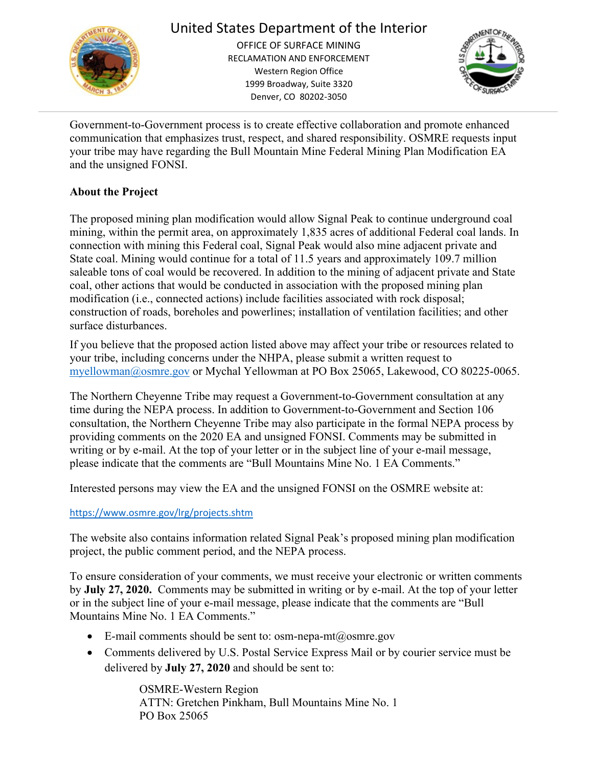

# United States Department of the Interior

OFFICE OF SURFACE MINING RECLAMATION AND ENFORCEMENT Western Region Office 1999 Broadway, Suite 3320 Denver, CO 80202-3050



Government-to-Government process is to create effective collaboration and promote enhanced communication that emphasizes trust, respect, and shared responsibility. OSMRE requests input your tribe may have regarding the Bull Mountain Mine Federal Mining Plan Modification EA and the unsigned FONSI.

### **About the Project**

The proposed mining plan modification would allow Signal Peak to continue underground coal mining, within the permit area, on approximately 1,835 acres of additional Federal coal lands. In connection with mining this Federal coal, Signal Peak would also mine adjacent private and State coal. Mining would continue for a total of 11.5 years and approximately 109.7 million saleable tons of coal would be recovered. In addition to the mining of adjacent private and State coal, other actions that would be conducted in association with the proposed mining plan modification (i.e., connected actions) include facilities associated with rock disposal; construction of roads, boreholes and powerlines; installation of ventilation facilities; and other surface disturbances.

If you believe that the proposed action listed above may affect your tribe or resources related to your tribe, including concerns under the NHPA, please submit a written request to [myellowman@osmre.gov](mailto:myellowman@osmre.gov) or Mychal Yellowman at PO Box 25065, Lakewood, CO 80225-0065.

The Northern Cheyenne Tribe may request a Government-to-Government consultation at any time during the NEPA process. In addition to Government-to-Government and Section 106 consultation, the Northern Cheyenne Tribe may also participate in the formal NEPA process by providing comments on the 2020 EA and unsigned FONSI. Comments may be submitted in writing or by e-mail. At the top of your letter or in the subject line of your e-mail message, please indicate that the comments are "Bull Mountains Mine No. 1 EA Comments."

Interested persons may view the EA and the unsigned FONSI on the OSMRE website at:

### <https://www.osmre.gov/lrg/projects.shtm>

The website also contains information related Signal Peak's proposed mining plan modification project, the public comment period, and the NEPA process.

To ensure consideration of your comments, we must receive your electronic or written comments by **July 27, 2020.** Comments may be submitted in writing or by e-mail. At the top of your letter or in the subject line of your e-mail message, please indicate that the comments are "Bull Mountains Mine No. 1 EA Comments."

- E-mail comments should be sent to: [osm-nepa-mt@osmre.gov](mailto:osm-nepa-mt@osmre.gov)
- Comments delivered by U.S. Postal Service Express Mail or by courier service must be delivered by **July 27, 2020** and should be sent to:

OSMRE-Western Region ATTN: Gretchen Pinkham, Bull Mountains Mine No. 1 PO Box 25065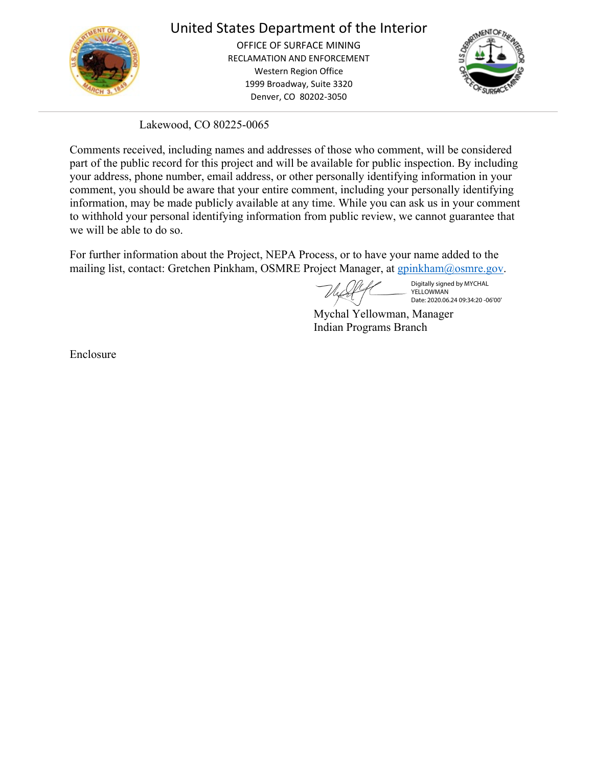

## United States Department of the Interior

OFFICE OF SURFACE MINING RECLAMATION AND ENFORCEMENT Western Region Office 1999 Broadway, Suite 3320 Denver, CO 80202-3050



Lakewood, CO 80225-0065

Comments received, including names and addresses of those who comment, will be considered part of the public record for this project and will be available for public inspection. By including your address, phone number, email address, or other personally identifying information in your comment, you should be aware that your entire comment, including your personally identifying information, may be made publicly available at any time. While you can ask us in your comment to withhold your personal identifying information from public review, we cannot guarantee that we will be able to do so.

For further information about the Project, NEPA Process, or to have your name added to the mailing list, contact: Gretchen Pinkham, OSMRE Project Manager, at [gpinkham@osmre.gov.](mailto:gpinkham@osmre.gov)

Digitally signed by MYCHAL **YELLOWMAN** Date: 2020.06.24 09:34:20 -06'00'

Mychal Yellowman, Manager Indian Programs Branch

Enclosure